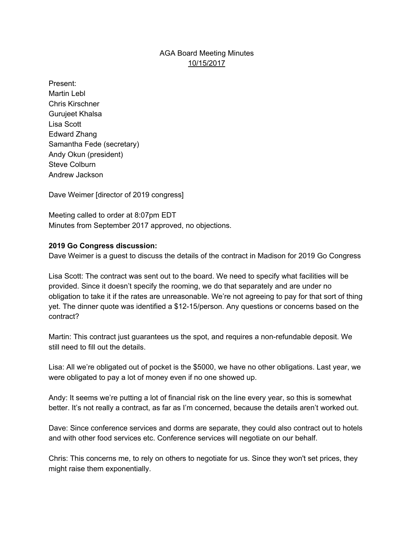# AGA Board Meeting Minutes 10/15/2017

Present: Martin Lebl Chris Kirschner Gurujeet Khalsa Lisa Scott Edward Zhang Samantha Fede (secretary) Andy Okun (president) Steve Colburn Andrew Jackson

Dave Weimer [director of 2019 congress]

Meeting called to order at 8:07pm EDT Minutes from September 2017 approved, no objections.

### **2019 Go Congress discussion:**

Dave Weimer is a guest to discuss the details of the contract in Madison for 2019 Go Congress

Lisa Scott: The contract was sent out to the board. We need to specify what facilities will be provided. Since it doesn't specify the rooming, we do that separately and are under no obligation to take it if the rates are unreasonable. We're not agreeing to pay for that sort of thing yet. The dinner quote was identified a \$12-15/person. Any questions or concerns based on the contract?

Martin: This contract just guarantees us the spot, and requires a non-refundable deposit. We still need to fill out the details.

Lisa: All we're obligated out of pocket is the \$5000, we have no other obligations. Last year, we were obligated to pay a lot of money even if no one showed up.

Andy: It seems we're putting a lot of financial risk on the line every year, so this is somewhat better. It's not really a contract, as far as I'm concerned, because the details aren't worked out.

Dave: Since conference services and dorms are separate, they could also contract out to hotels and with other food services etc. Conference services will negotiate on our behalf.

Chris: This concerns me, to rely on others to negotiate for us. Since they won't set prices, they might raise them exponentially.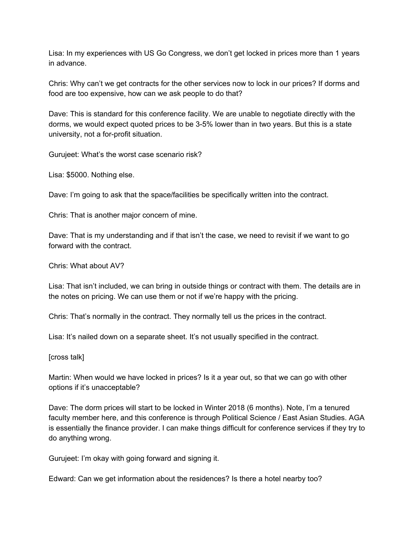Lisa: In my experiences with US Go Congress, we don't get locked in prices more than 1 years in advance.

Chris: Why can't we get contracts for the other services now to lock in our prices? If dorms and food are too expensive, how can we ask people to do that?

Dave: This is standard for this conference facility. We are unable to negotiate directly with the dorms, we would expect quoted prices to be 3-5% lower than in two years. But this is a state university, not a for-profit situation.

Gurujeet: What's the worst case scenario risk?

Lisa: \$5000. Nothing else.

Dave: I'm going to ask that the space/facilities be specifically written into the contract.

Chris: That is another major concern of mine.

Dave: That is my understanding and if that isn't the case, we need to revisit if we want to go forward with the contract.

Chris: What about AV?

Lisa: That isn't included, we can bring in outside things or contract with them. The details are in the notes on pricing. We can use them or not if we're happy with the pricing.

Chris: That's normally in the contract. They normally tell us the prices in the contract.

Lisa: It's nailed down on a separate sheet. It's not usually specified in the contract.

[cross talk]

Martin: When would we have locked in prices? Is it a year out, so that we can go with other options if it's unacceptable?

Dave: The dorm prices will start to be locked in Winter 2018 (6 months). Note, I'm a tenured faculty member here, and this conference is through Political Science / East Asian Studies. AGA is essentially the finance provider. I can make things difficult for conference services if they try to do anything wrong.

Gurujeet: I'm okay with going forward and signing it.

Edward: Can we get information about the residences? Is there a hotel nearby too?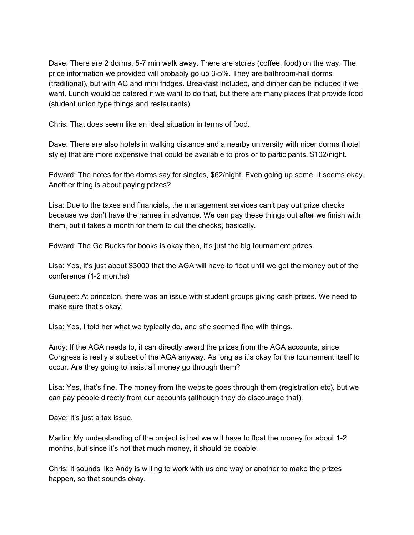Dave: There are 2 dorms, 5-7 min walk away. There are stores (coffee, food) on the way. The price information we provided will probably go up 3-5%. They are bathroom-hall dorms (traditional), but with AC and mini fridges. Breakfast included, and dinner can be included if we want. Lunch would be catered if we want to do that, but there are many places that provide food (student union type things and restaurants).

Chris: That does seem like an ideal situation in terms of food.

Dave: There are also hotels in walking distance and a nearby university with nicer dorms (hotel style) that are more expensive that could be available to pros or to participants. \$102/night.

Edward: The notes for the dorms say for singles, \$62/night. Even going up some, it seems okay. Another thing is about paying prizes?

Lisa: Due to the taxes and financials, the management services can't pay out prize checks because we don't have the names in advance. We can pay these things out after we finish with them, but it takes a month for them to cut the checks, basically.

Edward: The Go Bucks for books is okay then, it's just the big tournament prizes.

Lisa: Yes, it's just about \$3000 that the AGA will have to float until we get the money out of the conference (1-2 months)

Gurujeet: At princeton, there was an issue with student groups giving cash prizes. We need to make sure that's okay.

Lisa: Yes, I told her what we typically do, and she seemed fine with things.

Andy: If the AGA needs to, it can directly award the prizes from the AGA accounts, since Congress is really a subset of the AGA anyway. As long as it's okay for the tournament itself to occur. Are they going to insist all money go through them?

Lisa: Yes, that's fine. The money from the website goes through them (registration etc), but we can pay people directly from our accounts (although they do discourage that).

Dave: It's just a tax issue.

Martin: My understanding of the project is that we will have to float the money for about 1-2 months, but since it's not that much money, it should be doable.

Chris: It sounds like Andy is willing to work with us one way or another to make the prizes happen, so that sounds okay.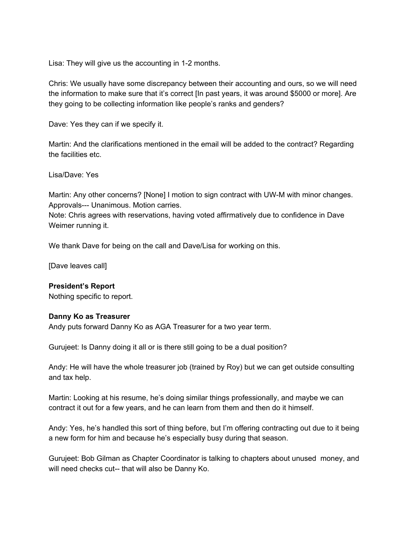Lisa: They will give us the accounting in 1-2 months.

Chris: We usually have some discrepancy between their accounting and ours, so we will need the information to make sure that it's correct [In past years, it was around \$5000 or more]. Are they going to be collecting information like people's ranks and genders?

Dave: Yes they can if we specify it.

Martin: And the clarifications mentioned in the email will be added to the contract? Regarding the facilities etc.

Lisa/Dave: Yes

Martin: Any other concerns? [None] I motion to sign contract with UW-M with minor changes. Approvals--- Unanimous. Motion carries.

Note: Chris agrees with reservations, having voted affirmatively due to confidence in Dave Weimer running it.

We thank Dave for being on the call and Dave/Lisa for working on this.

[Dave leaves call]

### **President's Report**

Nothing specific to report.

### **Danny Ko as Treasurer**

Andy puts forward Danny Ko as AGA Treasurer for a two year term.

Gurujeet: Is Danny doing it all or is there still going to be a dual position?

Andy: He will have the whole treasurer job (trained by Roy) but we can get outside consulting and tax help.

Martin: Looking at his resume, he's doing similar things professionally, and maybe we can contract it out for a few years, and he can learn from them and then do it himself.

Andy: Yes, he's handled this sort of thing before, but I'm offering contracting out due to it being a new form for him and because he's especially busy during that season.

Gurujeet: Bob Gilman as Chapter Coordinator is talking to chapters about unused money, and will need checks cut-- that will also be Danny Ko.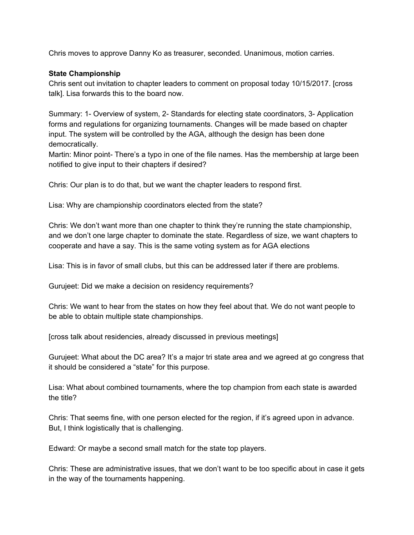Chris moves to approve Danny Ko as treasurer, seconded. Unanimous, motion carries.

### **State Championship**

Chris sent out invitation to chapter leaders to comment on proposal today 10/15/2017. [cross talk]. Lisa forwards this to the board now.

Summary: 1- Overview of system, 2- Standards for electing state coordinators, 3- Application forms and regulations for organizing tournaments. Changes will be made based on chapter input. The system will be controlled by the AGA, although the design has been done democratically.

Martin: Minor point- There's a typo in one of the file names. Has the membership at large been notified to give input to their chapters if desired?

Chris: Our plan is to do that, but we want the chapter leaders to respond first.

Lisa: Why are championship coordinators elected from the state?

Chris: We don't want more than one chapter to think they're running the state championship, and we don't one large chapter to dominate the state. Regardless of size, we want chapters to cooperate and have a say. This is the same voting system as for AGA elections

Lisa: This is in favor of small clubs, but this can be addressed later if there are problems.

Gurujeet: Did we make a decision on residency requirements?

Chris: We want to hear from the states on how they feel about that. We do not want people to be able to obtain multiple state championships.

[cross talk about residencies, already discussed in previous meetings]

Gurujeet: What about the DC area? It's a major tri state area and we agreed at go congress that it should be considered a "state" for this purpose.

Lisa: What about combined tournaments, where the top champion from each state is awarded the title?

Chris: That seems fine, with one person elected for the region, if it's agreed upon in advance. But, I think logistically that is challenging.

Edward: Or maybe a second small match for the state top players.

Chris: These are administrative issues, that we don't want to be too specific about in case it gets in the way of the tournaments happening.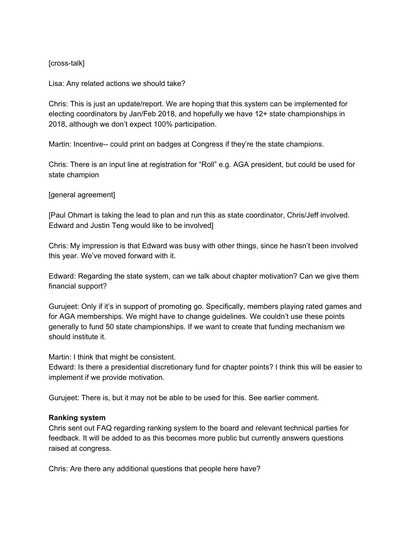### [cross-talk]

Lisa: Any related actions we should take?

Chris: This is just an update/report. We are hoping that this system can be implemented for electing coordinators by Jan/Feb 2018, and hopefully we have 12+ state championships in 2018, although we don't expect 100% participation.

Martin: Incentive-- could print on badges at Congress if they're the state champions.

Chris: There is an input line at registration for "Roll" e.g. AGA president, but could be used for state champion

## [general agreement]

[Paul Ohmart is taking the lead to plan and run this as state coordinator, Chris/Jeff involved. Edward and Justin Teng would like to be involved]

Chris: My impression is that Edward was busy with other things, since he hasn't been involved this year. We've moved forward with it.

Edward: Regarding the state system, can we talk about chapter motivation? Can we give them financial support?

Gurujeet: Only if it's in support of promoting go. Specifically, members playing rated games and for AGA memberships. We might have to change guidelines. We couldn't use these points generally to fund 50 state championships. If we want to create that funding mechanism we should institute it.

Martin: I think that might be consistent.

Edward: Is there a presidential discretionary fund for chapter points? I think this will be easier to implement if we provide motivation.

Gurujeet: There is, but it may not be able to be used for this. See earlier comment.

### **Ranking system**

Chris sent out FAQ regarding ranking system to the board and relevant technical parties for feedback. It will be added to as this becomes more public but currently answers questions raised at congress.

Chris: Are there any additional questions that people here have?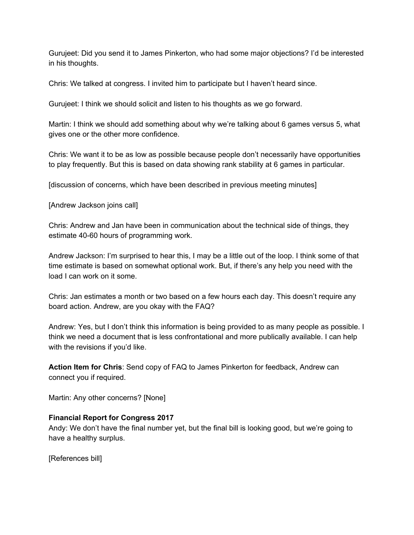Gurujeet: Did you send it to James Pinkerton, who had some major objections? I'd be interested in his thoughts.

Chris: We talked at congress. I invited him to participate but I haven't heard since.

Gurujeet: I think we should solicit and listen to his thoughts as we go forward.

Martin: I think we should add something about why we're talking about 6 games versus 5, what gives one or the other more confidence.

Chris: We want it to be as low as possible because people don't necessarily have opportunities to play frequently. But this is based on data showing rank stability at 6 games in particular.

[discussion of concerns, which have been described in previous meeting minutes]

[Andrew Jackson joins call]

Chris: Andrew and Jan have been in communication about the technical side of things, they estimate 40-60 hours of programming work.

Andrew Jackson: I'm surprised to hear this, I may be a little out of the loop. I think some of that time estimate is based on somewhat optional work. But, if there's any help you need with the load I can work on it some.

Chris: Jan estimates a month or two based on a few hours each day. This doesn't require any board action. Andrew, are you okay with the FAQ?

Andrew: Yes, but I don't think this information is being provided to as many people as possible. I think we need a document that is less confrontational and more publically available. I can help with the revisions if you'd like.

**Action Item for Chris**: Send copy of FAQ to James Pinkerton for feedback, Andrew can connect you if required.

Martin: Any other concerns? [None]

# **Financial Report for Congress 2017**

Andy: We don't have the final number yet, but the final bill is looking good, but we're going to have a healthy surplus.

[References bill]